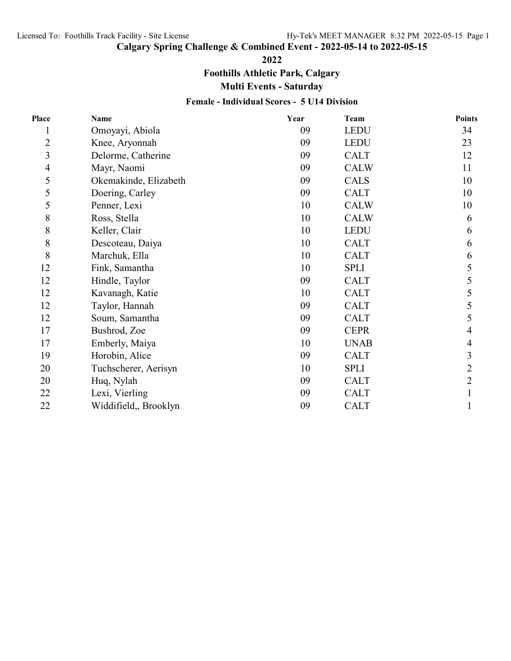# **Calgary Spring Challenge & Combined Event - 2022-05-14 to 2022-05-15**

**2022**

**Foothills Athletic Park, Calgary**

**Multi Events - Saturday**

#### **Female - Individual Scores - 5 U14 Division**

| Place          | <b>Name</b>           | Year | <b>Team</b> | <b>Points</b>  |
|----------------|-----------------------|------|-------------|----------------|
| 1              | Omoyayi, Abiola       | 09   | <b>LEDU</b> | 34             |
| $\overline{2}$ | Knee, Aryonnah        | 09   | <b>LEDU</b> | 23             |
| $\mathfrak{Z}$ | Delorme, Catherine    | 09   | <b>CALT</b> | 12             |
| $\overline{4}$ | Mayr, Naomi           | 09   | <b>CALW</b> | 11             |
| 5              | Okemakinde, Elizabeth | 09   | <b>CALS</b> | 10             |
| 5              | Doering, Carley       | 09   | <b>CALT</b> | 10             |
| 5              | Penner, Lexi          | 10   | <b>CALW</b> | 10             |
| 8              | Ross, Stella          | 10   | <b>CALW</b> | 6              |
| $\,$ $\,$      | Keller, Clair         | 10   | <b>LEDU</b> | 6              |
| 8              | Descoteau, Daiya      | 10   | <b>CALT</b> | 6              |
| 8              | Marchuk, Ella         | 10   | <b>CALT</b> | 6              |
| 12             | Fink, Samantha        | 10   | <b>SPLI</b> | 5              |
| 12             | Hindle, Taylor        | 09   | <b>CALT</b> | 5              |
| 12             | Kavanagh, Katie       | 10   | <b>CALT</b> | 5              |
| 12             | Taylor, Hannah        | 09   | <b>CALT</b> | 5              |
| 12             | Soum, Samantha        | 09   | <b>CALT</b> | 5              |
| 17             | Bushrod, Zoe          | 09   | <b>CEPR</b> | 4              |
| 17             | Emberly, Maiya        | 10   | <b>UNAB</b> | 4              |
| 19             | Horobin, Alice        | 09   | <b>CALT</b> | 3              |
| 20             | Tuchscherer, Aerisyn  | 10   | <b>SPLI</b> | $\overline{2}$ |
| 20             | Huq, Nylah            | 09   | <b>CALT</b> | $\overline{2}$ |
| 22             | Lexi, Vierling        | 09   | <b>CALT</b> |                |
| 22             | Widdifield,, Brooklyn | 09   | <b>CALT</b> | 1              |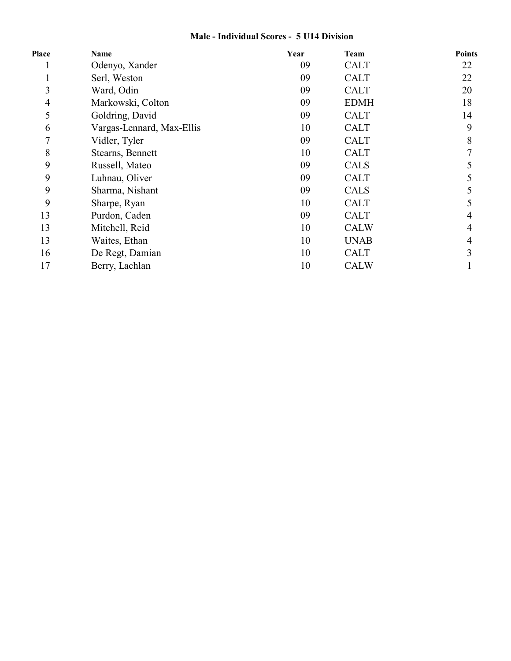## **Male - Individual Scores - 5 U14 Division**

| Place          | Name                      | Year | <b>Team</b> | <b>Points</b>            |
|----------------|---------------------------|------|-------------|--------------------------|
| T              | Odenyo, Xander            | 09   | <b>CALT</b> | 22                       |
|                | Serl, Weston              | 09   | <b>CALT</b> | 22                       |
| 3              | Ward, Odin                | 09   | <b>CALT</b> | 20                       |
| 4              | Markowski, Colton         | 09   | <b>EDMH</b> | 18                       |
| 5              | Goldring, David           | 09   | <b>CALT</b> | 14                       |
| 6              | Vargas-Lennard, Max-Ellis | 10   | <b>CALT</b> | 9                        |
| $\overline{7}$ | Vidler, Tyler             | 09   | <b>CALT</b> | 8                        |
| 8              | Stearns, Bennett          | 10   | <b>CALT</b> | 7                        |
| 9              | Russell, Mateo            | 09   | <b>CALS</b> |                          |
| 9              | Luhnau, Oliver            | 09   | <b>CALT</b> |                          |
| 9              | Sharma, Nishant           | 09   | <b>CALS</b> | 5                        |
| 9              | Sharpe, Ryan              | 10   | <b>CALT</b> | 5                        |
| 13             | Purdon, Caden             | 09   | <b>CALT</b> | $\overline{\mathcal{A}}$ |
| 13             | Mitchell, Reid            | 10   | <b>CALW</b> | 4                        |
| 13             | Waites, Ethan             | 10   | <b>UNAB</b> | 4                        |
| 16             | De Regt, Damian           | 10   | <b>CALT</b> | 3                        |
| 17             | Berry, Lachlan            | 10   | <b>CALW</b> |                          |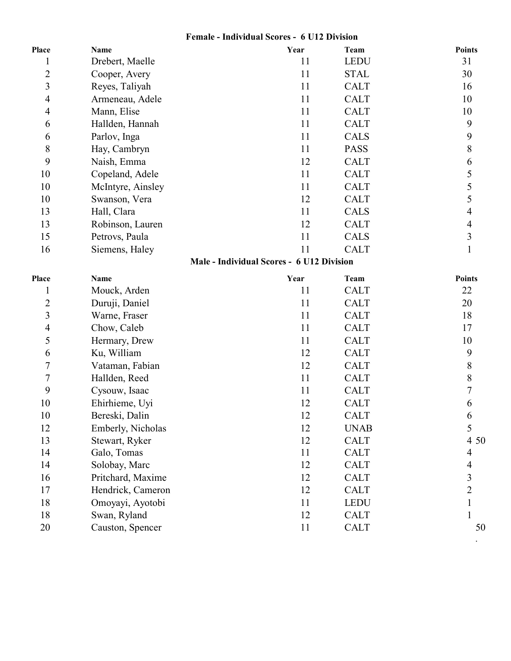#### **Female - Individual Scores - 6 U12 Division**

| Place                   | <b>Name</b>       | Year                                      | <b>Team</b> | <b>Points</b>            |
|-------------------------|-------------------|-------------------------------------------|-------------|--------------------------|
| $\mathbf 1$             | Drebert, Maelle   | 11                                        | <b>LEDU</b> | 31                       |
| $\overline{c}$          | Cooper, Avery     | 11                                        | <b>STAL</b> | 30                       |
| $\overline{\mathbf{3}}$ | Reyes, Taliyah    | 11                                        | <b>CALT</b> | 16                       |
| 4                       | Armeneau, Adele   | 11                                        | <b>CALT</b> | 10                       |
| 4                       | Mann, Elise       | 11                                        | <b>CALT</b> | 10                       |
| 6                       | Hallden, Hannah   | 11                                        | <b>CALT</b> | 9                        |
| 6                       | Parlov, Inga      | 11                                        | <b>CALS</b> | 9                        |
| 8                       | Hay, Cambryn      | 11                                        | <b>PASS</b> | $8\,$                    |
| 9                       | Naish, Emma       | 12                                        | <b>CALT</b> | 6                        |
| 10                      | Copeland, Adele   | 11                                        | <b>CALT</b> | 5                        |
| 10                      | McIntyre, Ainsley | 11                                        | <b>CALT</b> | 5                        |
| 10                      | Swanson, Vera     | 12                                        | <b>CALT</b> | 5                        |
| 13                      | Hall, Clara       | 11                                        | <b>CALS</b> | $\overline{\mathcal{L}}$ |
| 13                      | Robinson, Lauren  | 12                                        | <b>CALT</b> | $\overline{4}$           |
| 15                      | Petrovs, Paula    | 11                                        | <b>CALS</b> | $\overline{3}$           |
| 16                      | Siemens, Haley    | 11                                        | <b>CALT</b> | $\mathbf{1}$             |
|                         |                   | Male - Individual Scores - 6 U12 Division |             |                          |
| Place                   | <b>Name</b>       | Year                                      | <b>Team</b> | <b>Points</b>            |
| $\mathbf{1}$            | Mouck, Arden      | 11                                        | <b>CALT</b> | 22                       |
| $\overline{c}$          | Duruji, Daniel    | 11                                        | <b>CALT</b> | 20                       |
| $\overline{\mathbf{3}}$ | Warne, Fraser     | 11                                        | <b>CALT</b> | 18                       |
| 4                       | Chow, Caleb       | 11                                        | <b>CALT</b> | 17                       |
| 5                       | Hermary, Drew     | 11                                        | <b>CALT</b> | 10                       |
| 6                       | Ku, William       | 12                                        | <b>CALT</b> | 9                        |
| $\overline{7}$          | Vataman, Fabian   | 12                                        | <b>CALT</b> | 8                        |
| $\boldsymbol{7}$        | Hallden, Reed     | 11                                        | <b>CALT</b> | 8                        |
| 9                       | Cysouw, Isaac     | 11                                        | <b>CALT</b> | 7                        |
| 10                      | Ehirhieme, Uyi    | 12                                        | <b>CALT</b> | 6                        |
| 10                      | Bereski, Dalin    | 12                                        | <b>CALT</b> | 6                        |
| 12                      | Emberly, Nicholas | 12                                        | <b>UNAB</b> | 5                        |
| 13                      | Stewart, Ryker    | 12                                        | <b>CALT</b> | 4 50                     |
| 14                      | Galo, Tomas       | 11                                        | <b>CALT</b> | 4                        |
| 14                      | Solobay, Marc     | 12                                        | <b>CALT</b> | 4                        |
| 16                      | Pritchard, Maxime | 12                                        | <b>CALT</b> | 3                        |
| 17                      | Hendrick, Cameron | 12                                        | <b>CALT</b> | $\overline{c}$           |
| 18                      | Omoyayi, Ayotobi  | 11                                        | <b>LEDU</b> |                          |
| 18                      | Swan, Ryland      | 12                                        | <b>CALT</b> |                          |
| 20                      | Causton, Spencer  | 11                                        | <b>CALT</b> | 50                       |

.